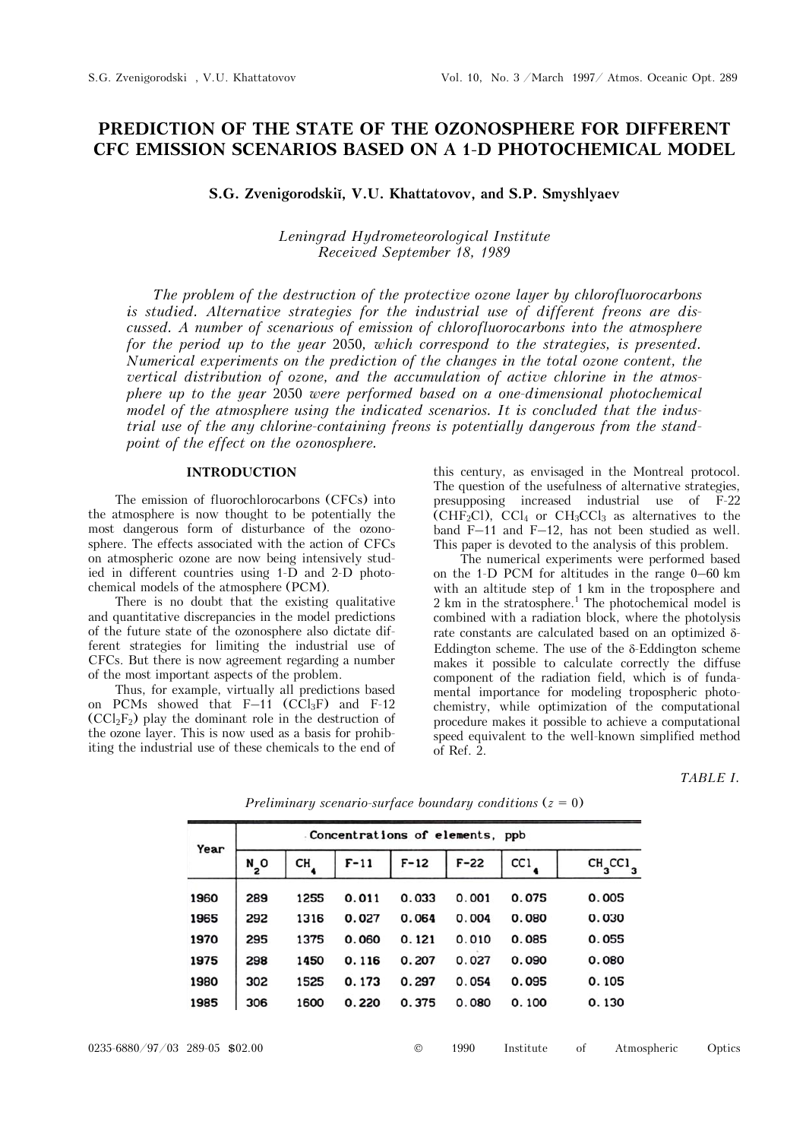# **PREDICTION OF THE STATE OF THE OZONOSPHERE FOR DIFFERENT CFC EMISSION SCENARIOS BASED ON A 1-D PHOTOCHEMICAL MODEL**

**S.G. Zvenigorodskiĭ, V.U. Khattatovov, and S.P. Smyshlyaev** 

# *Leningrad Hydrometeorological Institute Received September 18, 1989*

*The problem of the destruction of the protective ozone layer by chlorofluorocarbons is studied. Alternative strategies for the industrial use of different freons are discussed. A number of scenarious of emission of chlorofluorocarbons into the atmosphere for the period up to the year* 2050*, which correspond to the strategies, is presented. Numerical experiments on the prediction of the changes in the total ozone content, the vertical distribution of ozone, and the accumulation of active chlorine in the atmosphere up to the year* 2050 *were performed based on a one-dimensional photochemical model of the atmosphere using the indicated scenarios. It is concluded that the industrial use of the any chlorine-containing freons is potentially dangerous from the standpoint of the effect on the ozonosphere.* 

# **INTRODUCTION**

The emission of fluorochlorocarbons (CFCs) into the atmosphere is now thought to be potentially the most dangerous form of disturbance of the ozonosphere. The effects associated with the action of CFCs on atmospheric ozone are now being intensively studied in different countries using 1-D and 2-D photochemical models of the atmosphere (PCM).

There is no doubt that the existing qualitative and quantitative discrepancies in the model predictions of the future state of the ozonosphere also dictate different strategies for limiting the industrial use of CFCs. But there is now agreement regarding a number of the most important aspects of the problem.

Thus, for example, virtually all predictions based on PCMs showed that  $F-11$  (CCl<sub>3</sub>F) and F-12  $(CCl<sub>2</sub>F<sub>2</sub>)$  play the dominant role in the destruction of the ozone layer. This is now used as a basis for prohibiting the industrial use of these chemicals to the end of

this century, as envisaged in the Montreal protocol. The question of the usefulness of alternative strategies, presupposing increased industrial use of F-22  $\widetilde{\text{CHF}_2\text{Cl}}$ ,  $\text{CCl}_4$  or  $\text{CH}_3\text{CCl}_3$  as alternatives to the band F–11 and F–12, has not been studied as well. This paper is devoted to the analysis of this problem.

The numerical experiments were performed based on the 1-D PCM for altitudes in the range 0–60 km with an altitude step of 1 km in the troposphere and  $2 \text{ km}$  in the stratosphere.<sup>1</sup> The photochemical model is combined with a radiation block, where the photolysis rate constants are calculated based on an optimized  $\delta$ -Eddington scheme. The use of the  $\delta$ -Eddington scheme makes it possible to calculate correctly the diffuse component of the radiation field, which is of fundamental importance for modeling tropospheric photochemistry, while optimization of the computational procedure makes it possible to achieve a computational speed equivalent to the well-known simplified method of Ref. 2.

## *TABLE I.*

| Year | Concentrations of elements, ppb |      |        |        |        |       |                        |
|------|---------------------------------|------|--------|--------|--------|-------|------------------------|
|      | N O<br>2                        | CН   | $F-11$ | $F-12$ | $F-22$ | CC1   | $CH_3$ CC <sub>1</sub> |
| 1960 | 289                             | 1255 | 0.011  | 0.033  | 0.001  | 0.075 | 0.005                  |
| 1965 | 292                             | 1316 | 0.027  | 0.064  | 0.004  | 0.080 | 0.030                  |
| 1970 | 295                             | 1375 | 0.060  | 0.121  | 0.010  | 0.085 | 0.055                  |
| 1975 | 298                             | 1450 | 0.116  | 0.207  | 0.027  | 0.090 | 0.080                  |
| 1980 | 302                             | 1525 | 0.173  | 0.297  | 0.054  | 0.095 | 0.105                  |
| 1985 | 306                             | 1600 | 0.220  | 0.375  | 0.080  | 0.100 | 0.130                  |

*Preliminary scenario-surface boundary conditions* (*z* = 0)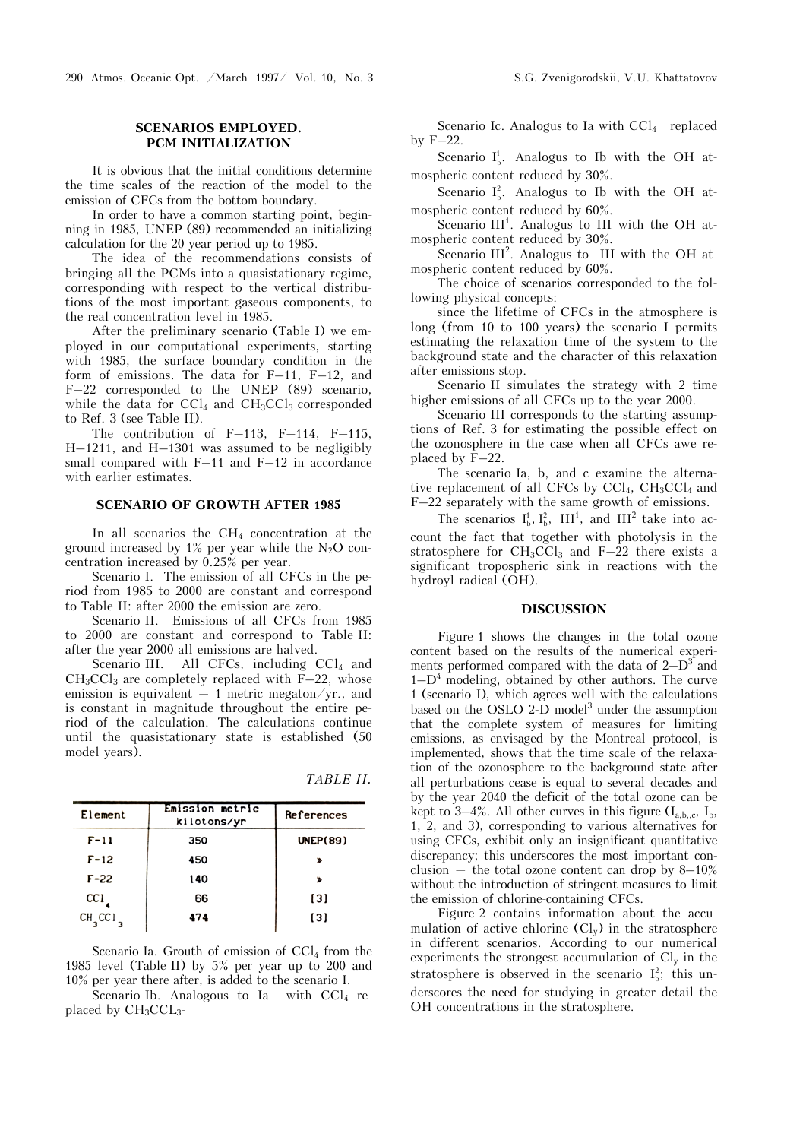290 Atmos. Oceanic Opt. /March 1997/ Vol. 10, No. 3 S.G. Zvenigorodskii, V.U. Khattatovov

## **SCENARIOS EMPLOYED. PCM INITIALIZATION**

It is obvious that the initial conditions determine the time scales of the reaction of the model to the emission of CFCs from the bottom boundary.

In order to have a common starting point, beginning in 1985, UNEP (89) recommended an initializing calculation for the 20 year period up to 1985.

The idea of the recommendations consists of bringing all the PCMs into a quasistationary regime, corresponding with respect to the vertical distributions of the most important gaseous components, to the real concentration level in 1985.

After the preliminary scenario (Table I) we employed in our computational experiments, starting with 1985, the surface boundary condition in the form of emissions. The data for F–11, F–12, and F–22 corresponded to the UNEP (89) scenario, while the data for  $\text{CCl}_4$  and  $\text{CH}_3\text{CCl}_3$  corresponded to Ref. 3 (see Table II).

The contribution of  $F-113$ ,  $F-114$ ,  $F-115$ , H–1211, and H–1301 was assumed to be negligibly small compared with  $F-11$  and  $F-12$  in accordance with earlier estimates.

## **SCENARIO OF GROWTH AFTER 1985**

In all scenarios the  $CH_4$  concentration at the ground increased by  $1\%$  per year while the N<sub>2</sub>O concentration increased by 0.25% per year.

Scenario I. The emission of all CFCs in the period from 1985 to 2000 are constant and correspond to Table II: after 2000 the emission are zero.

Scenario II. Emissions of all CFCs from 1985 to 2000 are constant and correspond to Table II: after the year 2000 all emissions are halved.

Scenario III. All CFCs, including  $\text{CCl}_4$  and  $CH<sub>3</sub>CCl<sub>3</sub>$  are completely replaced with F–22, whose emission is equivalent  $-1$  metric megaton/yr., and is constant in magnitude throughout the entire period of the calculation. The calculations continue until the quasistationary state is established (50 model years).

*TABLE II.*

| Element                          | Emission metric<br>kilotons/yr | References        |  |
|----------------------------------|--------------------------------|-------------------|--|
| F-11                             | 350                            | UNEP(89)          |  |
| F-12                             | 450                            |                   |  |
| F-22                             | 140                            |                   |  |
| CC 1                             | 66                             | $\lceil 3 \rceil$ |  |
| CH <sub>3</sub> CC1 <sub>3</sub> | 474                            | $\lceil 3 \rceil$ |  |

Scenario Ia. Grouth of emission of  $\text{CCl}_4$  from the 1985 level (Table II) by 5% per year up to 200 and 10% per year there after, is added to the scenario I.

Scenario Ib. Analogous to Ia with  $\text{CCl}_4$  replaced by  $CH<sub>3</sub>CCL<sub>3</sub>$ 

Scenario Ic. Analogus to Ia with  $\text{CCl}_4$  replaced by F–22.

Scenario  $I_b^1$ . Analogus to Ib with the OH atmospheric content reduced by 30%.

Scenario  $I_b^2$ . Analogus to Ib with the OH atmospheric content reduced by 60%.

Scenario  $III<sup>1</sup>$ . Analogus to III with the OH atmospheric content reduced by 30%.

Scenario III<sup>2</sup>. Analogus to III with the OH atmospheric content reduced by 60%.

The choice of scenarios corresponded to the following physical concepts:

since the lifetime of CFCs in the atmosphere is long (from 10 to 100 years) the scenario I permits estimating the relaxation time of the system to the background state and the character of this relaxation after emissions stop.

Scenario II simulates the strategy with 2 time higher emissions of all CFCs up to the year 2000.

Scenario III corresponds to the starting assumptions of Ref. 3 for estimating the possible effect on the ozonosphere in the case when all CFCs awe replaced by F–22.

The scenario Ia, b, and c examine the alternative replacement of all CFCs by  $\text{CCl}_4$ ,  $\text{CH}_3\text{CCl}_4$  and F–22 separately with the same growth of emissions.

The scenarios  $I_b^1$ ,  $I_b^2$ , III<sup>1</sup>, and III<sup>2</sup> take into account the fact that together with photolysis in the stratosphere for  $CH_3CCl_3$  and  $F-22$  there exists a significant tropospheric sink in reactions with the hydroyl radical (OH).

### **DISCUSSION**

Figure 1 shows the changes in the total ozone content based on the results of the numerical experiments performed compared with the data of  $2-D^3$  and  $1-D<sup>4</sup>$  modeling, obtained by other authors. The curve 1 (scenario I), which agrees well with the calculations based on the OSLO 2-D model<sup>3</sup> under the assumption that the complete system of measures for limiting emissions, as envisaged by the Montreal protocol, is implemented, shows that the time scale of the relaxation of the ozonosphere to the background state after all perturbations cease is equal to several decades and by the year 2040 the deficit of the total ozone can be kept to 3–4%. All other curves in this figure  $(I_{a,b,c}, I_b, I_c)$ 1, 2, and 3), corresponding to various alternatives for using CFCs, exhibit only an insignificant quantitative discrepancy; this underscores the most important conclusion – the total ozone content can drop by  $8-10\%$ without the introduction of stringent measures to limit the emission of chlorine-containing CFCs.

Figure 2 contains information about the accumulation of active chlorine  $(Cl_v)$  in the stratosphere in different scenarios. According to our numerical experiments the strongest accumulation of  $Cl<sub>v</sub>$  in the stratosphere is observed in the scenario  $I_b^2$ ; this underscores the need for studying in greater detail the OH concentrations in the stratosphere.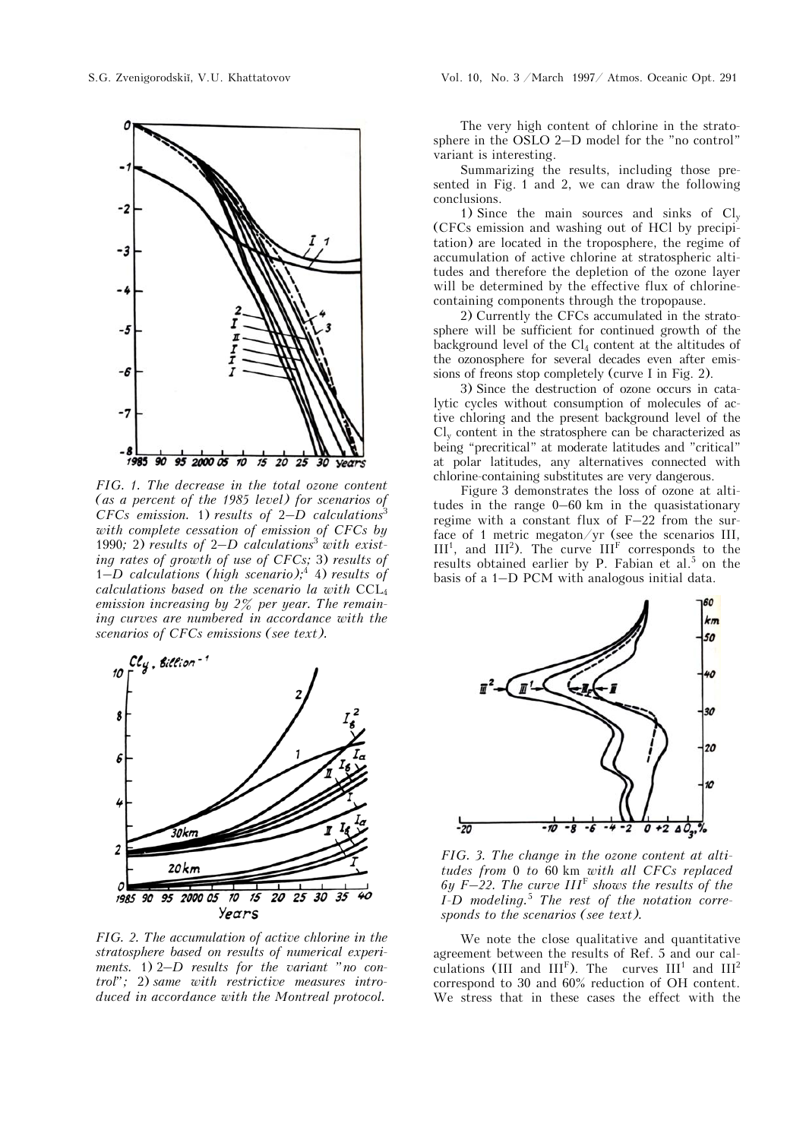

*FIG. 1. The decrease in the total ozone content (as a percent of the 1985 level) for scenarios of CFCs emission.* 1) *results of 2-D calculations*<sup>3</sup> *with complete cessation of emission of CFCs by*  1990*;* 2) *results of* 2*–D calculations*<sup>3</sup> *with existing rates of growth of use of CFCs;* 3) *results of*  1*–D calculations (high scenario);*<sup>4</sup> 4) *results of calculations based on the scenario la with* CCL4 *emission increasing by 2% per year. The remaining curves are numbered in accordance with the scenarios of CFCs emissions (see text).* 



*FIG. 2. The accumulation of active chlorine in the stratosphere based on results of numerical experiments.* 1) 2*–D results for the variant "no control";* 2) *same with restrictive measures introduced in accordance with the Montreal protocol.*

The very high content of chlorine in the stratosphere in the OSLO 2–D model for the "no control" variant is interesting.

Summarizing the results, including those presented in Fig. 1 and 2, we can draw the following conclusions.

1) Since the main sources and sinks of  $Cl_v$ (CFCs emission and washing out of HCl by precipitation) are located in the troposphere, the regime of accumulation of active chlorine at stratospheric altitudes and therefore the depletion of the ozone layer will be determined by the effective flux of chlorinecontaining components through the tropopause.

2) Currently the CFCs accumulated in the stratosphere will be sufficient for continued growth of the background level of the  $Cl_4$  content at the altitudes of the ozonosphere for several decades even after emissions of freons stop completely (curve I in Fig. 2).

3) Since the destruction of ozone occurs in catalytic cycles without consumption of molecules of active chloring and the present background level of the  $Cl<sub>v</sub>$  content in the stratosphere can be characterized as being "precritical" at moderate latitudes and "critical" at polar latitudes, any alternatives connected with chlorine-containing substitutes are very dangerous.

Figure 3 demonstrates the loss of ozone at altitudes in the range 0–60 km in the quasistationary regime with a constant flux of F–22 from the surface of 1 metric megaton/ $y$  (see the scenarios III,  $III<sup>1</sup>$ , and  $III<sup>2</sup>$ ). The curve  $III<sup>F</sup>$  corresponds to the results obtained earlier by P. Fabian et al.<sup>5</sup> on the basis of a 1–D PCM with analogous initial data.



*FIG. 3. The change in the ozone content at altitudes from* 0 *to* 60 km *with all CFCs replaced 6y F–22. The curve III*<sup>F</sup> *shows the results of the I-D modeling.*<sup>5</sup>  *The rest of the notation corresponds to the scenarios (see text).* 

We note the close qualitative and quantitative agreement between the results of Ref. 5 and our calculations (III and  $III^F$ ). The curves  $III^1$  and  $III^2$ correspond to 30 and 60% reduction of OH content. We stress that in these cases the effect with the